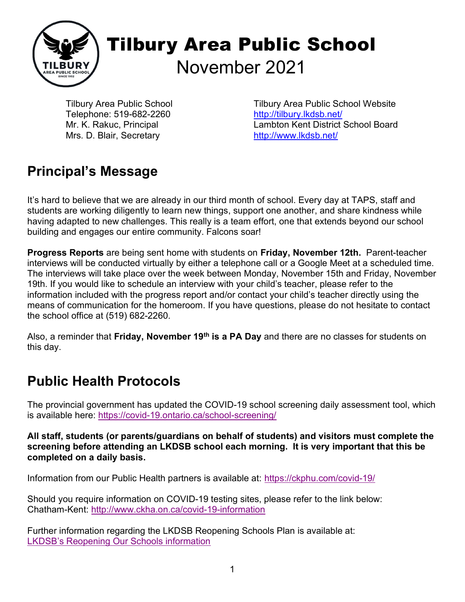

Tilbury Area Public School Telephone: 519-682-2260 Mr. K. Rakuc, Principal Mrs. D. Blair, Secretary

Tilbury Area Public School Website http://tilbury.lkdsb.net/ Lambton Kent District School Board http://www.lkdsb.net/

## Principal's Message

It's hard to believe that we are already in our third month of school. Every day at TAPS, staff and students are working diligently to learn new things, support one another, and share kindness while having adapted to new challenges. This really is a team effort, one that extends beyond our school building and engages our entire community. Falcons soar!

Progress Reports are being sent home with students on Friday, November 12th. Parent-teacher interviews will be conducted virtually by either a telephone call or a Google Meet at a scheduled time. The interviews will take place over the week between Monday, November 15th and Friday, November 19th. If you would like to schedule an interview with your child's teacher, please refer to the information included with the progress report and/or contact your child's teacher directly using the means of communication for the homeroom. If you have questions, please do not hesitate to contact the school office at (519) 682-2260.

Also, a reminder that Friday, November 19<sup>th</sup> is a PA Day and there are no classes for students on this day.

### Public Health Protocols

The provincial government has updated the COVID-19 school screening daily assessment tool, which is available here: https://covid-19.ontario.ca/school-screening/

All staff, students (or parents/guardians on behalf of students) and visitors must complete the screening before attending an LKDSB school each morning. It is very important that this be completed on a daily basis.

Information from our Public Health partners is available at: https://ckphu.com/covid-19/

Should you require information on COVID-19 testing sites, please refer to the link below: Chatham-Kent: http://www.ckha.on.ca/covid-19-information

Further information regarding the LKDSB Reopening Schools Plan is available at: LKDSB's Reopening Our Schools information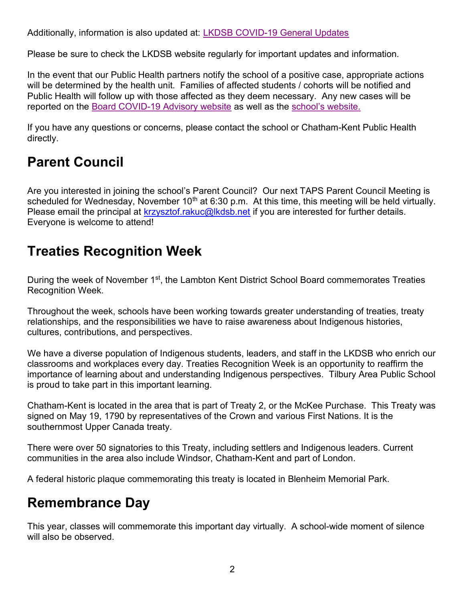Additionally, information is also updated at: LKDSB COVID-19 General Updates

Please be sure to check the LKDSB website regularly for important updates and information.

In the event that our Public Health partners notify the school of a positive case, appropriate actions will be determined by the health unit. Families of affected students / cohorts will be notified and Public Health will follow up with those affected as they deem necessary. Any new cases will be reported on the Board COVID-19 Advisory website as well as the school's website.

If you have any questions or concerns, please contact the school or Chatham-Kent Public Health directly.

## Parent Council

Are you interested in joining the school's Parent Council? Our next TAPS Parent Council Meeting is scheduled for Wednesday, November 10<sup>th</sup> at 6:30 p.m. At this time, this meeting will be held virtually. Please email the principal at krzysztof.rakuc@lkdsb.net if you are interested for further details. Everyone is welcome to attend!

### Treaties Recognition Week

During the week of November 1<sup>st</sup>, the Lambton Kent District School Board commemorates Treaties Recognition Week.

Throughout the week, schools have been working towards greater understanding of treaties, treaty relationships, and the responsibilities we have to raise awareness about Indigenous histories, cultures, contributions, and perspectives.

We have a diverse population of Indigenous students, leaders, and staff in the LKDSB who enrich our classrooms and workplaces every day. Treaties Recognition Week is an opportunity to reaffirm the importance of learning about and understanding Indigenous perspectives. Tilbury Area Public School is proud to take part in this important learning.

Chatham-Kent is located in the area that is part of Treaty 2, or the McKee Purchase. This Treaty was signed on May 19, 1790 by representatives of the Crown and various First Nations. It is the southernmost Upper Canada treaty.

There were over 50 signatories to this Treaty, including settlers and Indigenous leaders. Current communities in the area also include Windsor, Chatham-Kent and part of London.

A federal historic plaque commemorating this treaty is located in Blenheim Memorial Park.

#### Remembrance Day

This year, classes will commemorate this important day virtually. A school-wide moment of silence will also be observed.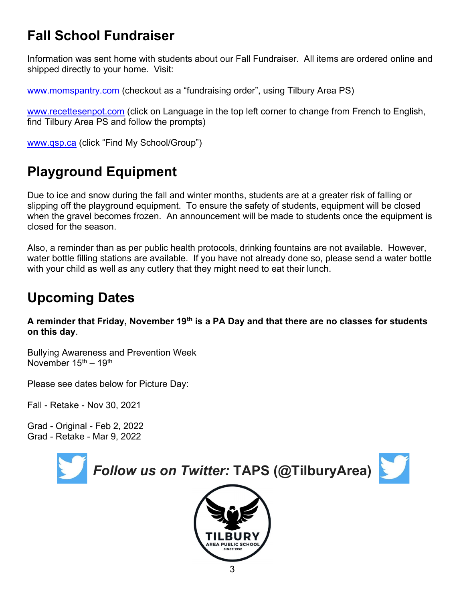## Fall School Fundraiser

Information was sent home with students about our Fall Fundraiser. All items are ordered online and shipped directly to your home. Visit:

www.momspantry.com (checkout as a "fundraising order", using Tilbury Area PS)

www.recettesenpot.com (click on Language in the top left corner to change from French to English, find Tilbury Area PS and follow the prompts)

www.qsp.ca (click "Find My School/Group")

# Playground Equipment

Due to ice and snow during the fall and winter months, students are at a greater risk of falling or slipping off the playground equipment. To ensure the safety of students, equipment will be closed when the gravel becomes frozen. An announcement will be made to students once the equipment is closed for the season.

Also, a reminder than as per public health protocols, drinking fountains are not available. However, water bottle filling stations are available. If you have not already done so, please send a water bottle with your child as well as any cutlery that they might need to eat their lunch.

# Upcoming Dates

A reminder that Friday, November 19<sup>th</sup> is a PA Day and that there are no classes for students on this day.

Bullying Awareness and Prevention Week November 15<sup>th</sup> – 19<sup>th</sup>

Please see dates below for Picture Day:

Fall - Retake - Nov 30, 2021

Grad - Original - Feb 2, 2022 Grad - Retake - Mar 9, 2022